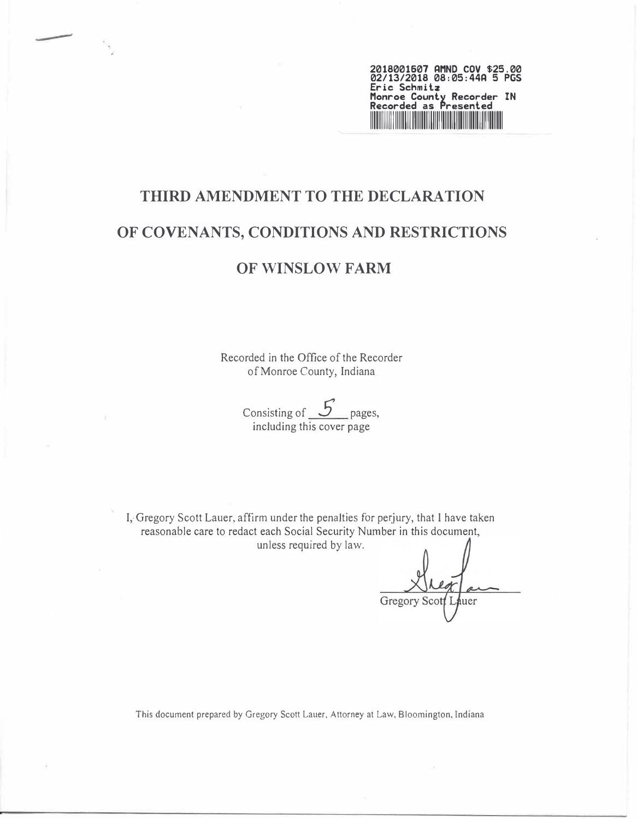

# **THIRD AMENDMENT TO THE DECLARATION OF COVENANTS, CONDITIONS AND RESTRICTIONS**

-

## **OF WINSLOW FARM**

Recorded in the Office of the Recorder of Monroe County, Indiana

> Consisting of 5 pages, including this cover page

I, Gregory Scott Lauer, affirm under the penalties for perjury, that I have taken reasonable care to redact each Social Security Number in this document, unless required by law.

Gregory Scot huer

This document prepared by Gregory Scott Lauer, Attorney at Law, Bloomington, Indiana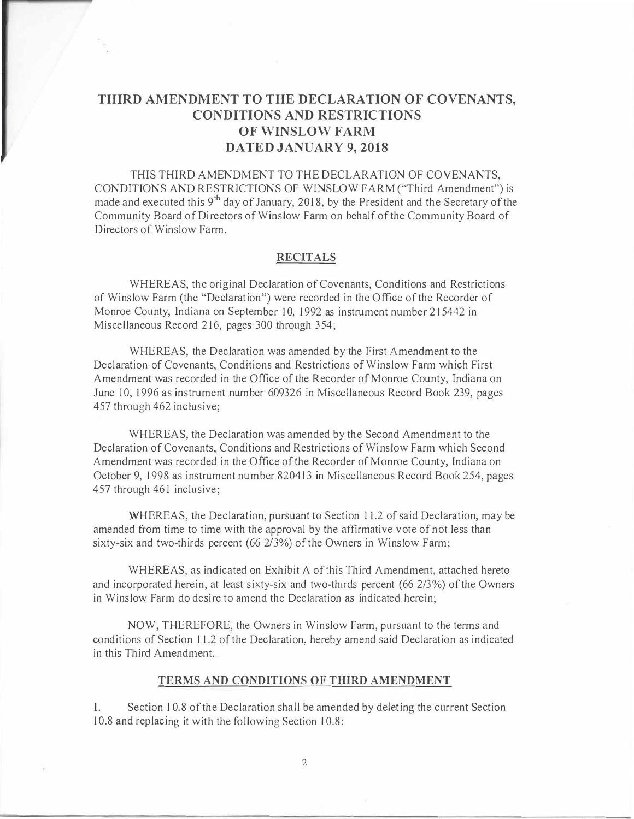## **THIRD AMENDMENT TO THE DECLARATION OF COVENANTS, CONDITIONS AND RESTRICTIONS OF WINSLOW FARM DATED JANUARY 9, 2018**

THIS THIRD AMENDMENT TO THE DECLARATION OF COVENANTS, CONDITIONS AND RESTRICTIONS OF WfNSLOW FARM ("Third Amendment") is made and executed this 9<sup>th</sup> day of January, 2018, by the President and the Secretary of the Community Board of Directors of Winslow Farm on behalf of the Community Board of Directors of Winslow Farm.

#### **RECITALS**

WHEREAS, the original Declaration of Covenants, Conditions and Restrictions of Winslow Farm (the "Declaration") were recorded in the Office of the Recorder of Monroe County, Indiana on September 10, 1992 as instrument number 215442 in Miscellaneous Record 216, pages 300 through 354;

WHEREAS, the Declaration was amended by the First Amendment to the Declaration of Covenants, Conditions and Restrictions of Winslow Farm which First Amendment was recorded in the Office of the Recorder of Monroe County, Indiana on June 10, 1996 as instrument number 609326 in Miscellaneous Record Book 239, pages 457 through 462 inclusive;

WHEREAS, the Declaration was amended by the Second Amendment to the Declaration of Covenants, Conditions and Restrictions of Winslow Farm which Second Amendment was recorded in the Office of the Recorder of Monroe County, Indiana on October 9, 1998 as instrument number 820413 in Miscellaneous Record Book 254, pages 457 through 461 inclusive;

WHEREAS, the Declaration, pursuant to Section 11.2 of said Declaration, may be amended from time to time with the approval by the affirmative vote of not less than sixty-six and two-thirds percent (66 2/3%) of the Owners in Winslow Farm;

WHEREAS, as indicated on Exhibit A of this Third Amendment, attached hereto and incorporated herein, at least sixty-six and two-thirds percent (66 2/3%) of the Owners in Winslow Farm do desire to amend the Declaration as indicated herein;

NOW, THEREFORE, the Owners in Winslow Farm, pursuant to the terms and conditions of Section 11.2 of the Declaration, hereby amend said Declaration as indicated in this Third Amendment.

#### **TERMS AND CONDITIONS OF THIRD AMENDMENT**

I. Section 10.8 of the Declaration shall be amended by deleting the current Section 10.8 and replacing it with the following Section 10.8: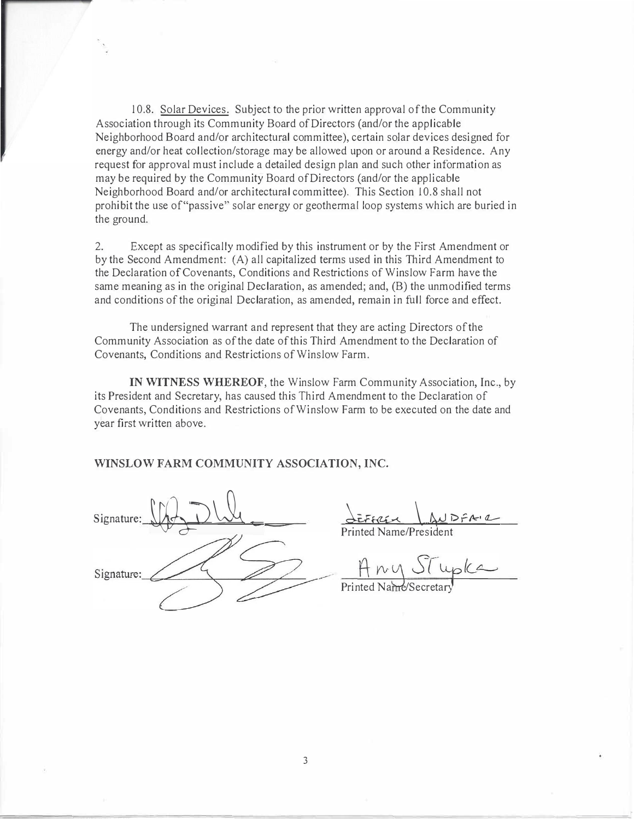10.8. Solar Devices. Subject to the prior written approval of the Community Association through its Community Board of Directors (and/or the applicable Neighborhood Board and/or architectural committee), certain solar devices designed for energy and/or heat collection/storage may be allowed upon or around a Residence. Any request for approval must include a detailed design plan and such other information as may be required by the Community Board of Directors (and/or the applicable Neighborhood Board and/or architectural committee). This Section 10.8 shall not prohibit the use of"passive" solar energy or geothermal loop systems which are buried in the ground.

2. Except as specifically modified by this instrument or by the First Amendment or by the Second Amendment: (A) all capitalized terms used in this Third Amendment to the Declaration of Covenants, Conditions and Restrictions of Winslow Farm have the same meaning as in the original Declaration, as amended; and, (B) the unmodified terms and conditions of the original Declaration, as amended, remain in full force and effect.

The undersigned warrant and represent that they are acting Directors of the Community Association as of the date of this Third Amendment to the Declaration of Covenants, Conditions and Restrictions of Winslow Farm.

**IN WITNESS WHEREOF,** the Winslow Farm Community Association, Inc., by its President and Secretary, has caused this Third Amendment to the Declaration of Covenants, Conditions and Restrictions of Winslow Farm to be executed on the date and year first written above.

**WINSLOW FARM COMMUNITY ASSOCIATION, INC.** 

Signature:  $\bigcup_{i=1}^n \bigcup_{j=1}^n \bigcup_{j=1}^n$ Signature:

EFFREX AUDFA-2 Printed Name/President

Any Stupka

Printed Name/Secretar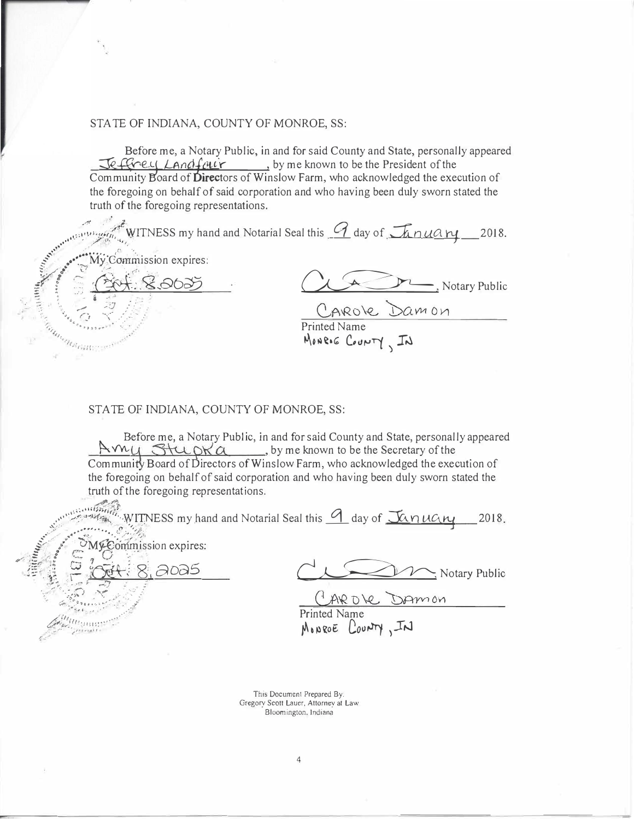#### STATE OF INDIANA, COUNTY OF MONROE, SS:

Before me, a Notary Public, in and for said County and State, personally appeared Jeffrey Landfaur, by me known to be the President of the Community Board of Directors of Winslow Farm, who acknowledged the execution of the foregoing on behalf of said corporation and who having been duly sworn stated the truth of the foregoing representations.

WITNESS my hand and Notarial Seal this  $\mathcal G$  day of  $\mathcal I$   $\mathcal A$   $\mathcal A$   $\mathcal A$   $\mathcal H$  2018. Commission expires: . Notary Public  $\alpha$ mon

Printed Name MONRIE COUNTY, IN

#### STATE OF INDIANA, COUNTY OF MONROE, SS:

n<sub>a</sub>ga gan

Before me, a Notary Public, in and for said County and State, personally appeared Avvy Stupka, by me known to be the Secretary of the Community Board of Directors of Winslow Farm, who acknowledged the execution of the foregoing on behalf of said corporation and who having been duly sworn stated the truth of the foregoing representations.

and this 9 day of January 2018. Commission expires: ටංබර් Notary Public DAMON Regular MONROE COUNTY, IN

This Document Prepared By: Gregory Scott Lauer, Attorney at Law Bloomington, Indiana